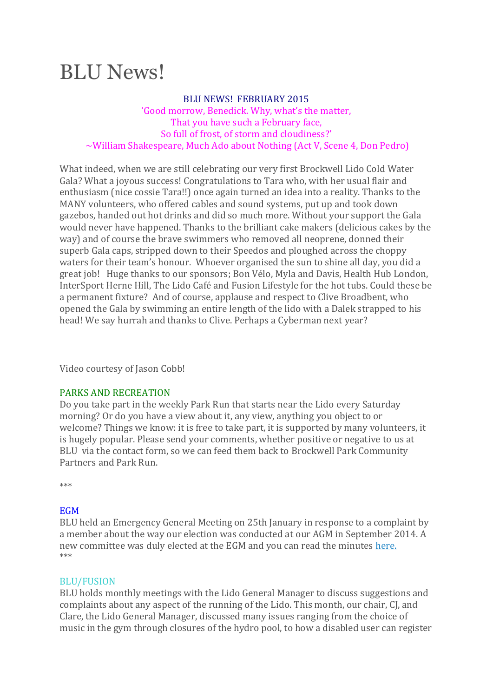# BLU News!

#### BLU NEWS! FEBRUARY 2015

'Good morrow, Benedick. Why, what's the matter, That you have such a February face, So full of frost, of storm and cloudiness?' ~William Shakespeare, Much Ado about Nothing (Act V, Scene 4, Don Pedro)

What indeed, when we are still celebrating our very first Brockwell Lido Cold Water Gala? What a joyous success! Congratulations to Tara who, with her usual flair and enthusiasm (nice cossie Tara!!) once again turned an idea into a reality. Thanks to the MANY volunteers, who offered cables and sound systems, put up and took down gazebos, handed out hot drinks and did so much more. Without your support the Gala would never have happened. Thanks to the brilliant cake makers (delicious cakes by the way) and of course the brave swimmers who removed all neoprene, donned their superb Gala caps, stripped down to their Speedos and ploughed across the choppy waters for their team's honour. Whoever organised the sun to shine all day, you did a great job! Huge thanks to our sponsors; Bon Vélo, Myla and Davis, Health Hub London, InterSport Herne Hill, The Lido Café and Fusion Lifestyle for the hot tubs. Could these be a permanent fixture? And of course, applause and respect to Clive Broadbent, who opened the Gala by swimming an entire length of the lido with a Dalek strapped to his head! We say hurrah and thanks to Clive. Perhaps a Cyberman next year?

Video courtesy of Jason Cobb!

## PARKS AND RECREATION

Do you take part in the weekly Park Run that starts near the Lido every Saturday morning? Or do you have a view about it, any view, anything you object to or welcome? Things we know: it is free to take part, it is supported by many volunteers, it is hugely popular. Please send your comments, whether positive or negative to us at BLU via the contact form, so we can feed them back to Brockwell Park Community Partners and Park Run.

\*\*\*

## **EGM**

BLU held an Emergency General Meeting on 25th January in response to a complaint by a member about the way our election was conducted at our AGM in September 2014. A new committee was duly elected at the EGM and you can read the minutes [here.](http://www.brockwelllido.com/blu-egm-minutes-january-2015/) \*\*\*

## BLU/FUSION

BLU holds monthly meetings with the Lido General Manager to discuss suggestions and complaints about any aspect of the running of the Lido. This month, our chair, CJ, and Clare, the Lido General Manager, discussed many issues ranging from the choice of music in the gym through closures of the hydro pool, to how a disabled user can register